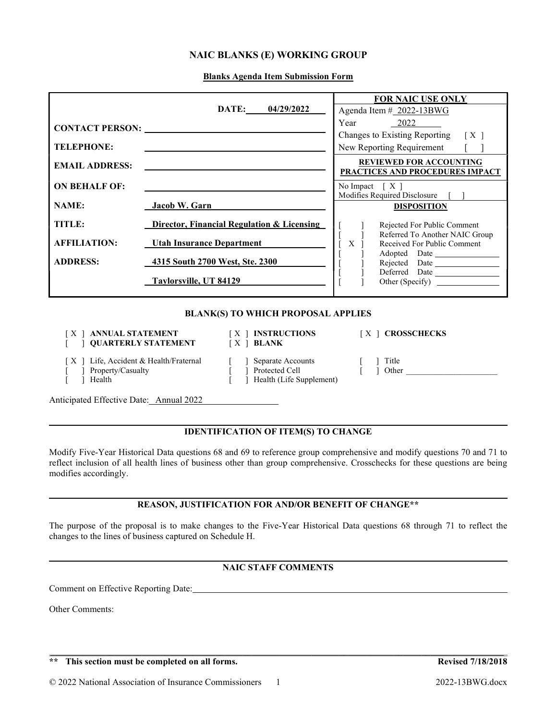## NAIC BLANKS (E) WORKING GROUP

Blanks Agenda Item Submission Form

|                        |                                            | <b>FOR NAIC USE ONLY</b>                                           |  |  |  |
|------------------------|--------------------------------------------|--------------------------------------------------------------------|--|--|--|
|                        | DATE: 04/29/2022                           | Agenda Item # 2022-13BWG                                           |  |  |  |
| <b>CONTACT PERSON:</b> |                                            | Year<br>2022                                                       |  |  |  |
|                        |                                            | Changes to Existing Reporting<br>$\lceil$ X $\rceil$               |  |  |  |
| <b>TELEPHONE:</b>      |                                            | New Reporting Requirement                                          |  |  |  |
| <b>EMAIL ADDRESS:</b>  |                                            | <b>REVIEWED FOR ACCOUNTING</b><br>PRACTICES AND PROCEDURES IMPACT  |  |  |  |
| <b>ON BEHALF OF:</b>   |                                            | No Impact $[X]$                                                    |  |  |  |
| <b>NAME:</b>           | Jacob W. Garn                              | Modifies Required Disclosure<br><b>DISPOSITION</b>                 |  |  |  |
|                        |                                            |                                                                    |  |  |  |
| <b>TITLE:</b>          | Director, Financial Regulation & Licensing | Rejected For Public Comment                                        |  |  |  |
| <b>AFFILIATION:</b>    | <b>Utah Insurance Department</b>           | Referred To Another NAIC Group<br>Received For Public Comment<br>X |  |  |  |
| <b>ADDRESS:</b>        | 4315 South 2700 West, Ste. 2300            | Adopted Date                                                       |  |  |  |
|                        | Taylorsville, UT 84129                     | Other (Specify)                                                    |  |  |  |
|                        | <b>BLANK(S) TO WHICH PROPOSAL APPLIES</b>  |                                                                    |  |  |  |

#### [X ] ANNUAL STATEMENT [X ] INSTRUCTIONS [X ] CROSSCHECKS [ ] QUARTERLY STATEMENT [ X ] BLANK

- 
- 

- 
- 
- 

l

 $\overline{a}$ 

 $\overline{a}$ 

- [ X ] Life, Accident & Health/Fraternal [ ] Separate Accounts [ ] Title
- [ ] Property/Casualty [ ] Protected Cell [ ] Other \_\_\_\_\_\_\_\_\_\_\_\_\_\_\_\_\_\_\_\_\_\_\_\_\_\_\_\_\_<br>[ ] Health (Life Supplement) [ ] Health [ ] Health (Life Supplement)
- 

Anticipated Effective Date: Annual 2022

## IDENTIFICATION OF ITEM(S) TO CHANGE

Modify Five-Year Historical Data questions 68 and 69 to reference group comprehensive and modify questions 70 and 71 to reflect inclusion of all health lines of business other than group comprehensive. Crosschecks for these questions are being modifies accordingly.

### REASON, JUSTIFICATION FOR AND/OR BENEFIT OF CHANGE\*\*

The purpose of the proposal is to make changes to the Five-Year Historical Data questions 68 through 71 to reflect the changes to the lines of business captured on Schedule H.

# NAIC STAFF COMMENTS

 $\mathcal{L}_\mathcal{L} = \mathcal{L}_\mathcal{L} = \mathcal{L}_\mathcal{L} = \mathcal{L}_\mathcal{L} = \mathcal{L}_\mathcal{L} = \mathcal{L}_\mathcal{L} = \mathcal{L}_\mathcal{L} = \mathcal{L}_\mathcal{L} = \mathcal{L}_\mathcal{L} = \mathcal{L}_\mathcal{L} = \mathcal{L}_\mathcal{L} = \mathcal{L}_\mathcal{L} = \mathcal{L}_\mathcal{L} = \mathcal{L}_\mathcal{L} = \mathcal{L}_\mathcal{L} = \mathcal{L}_\mathcal{L} = \mathcal{L}_\mathcal{L}$ 

Comment on Effective Reporting Date:

Other Comments: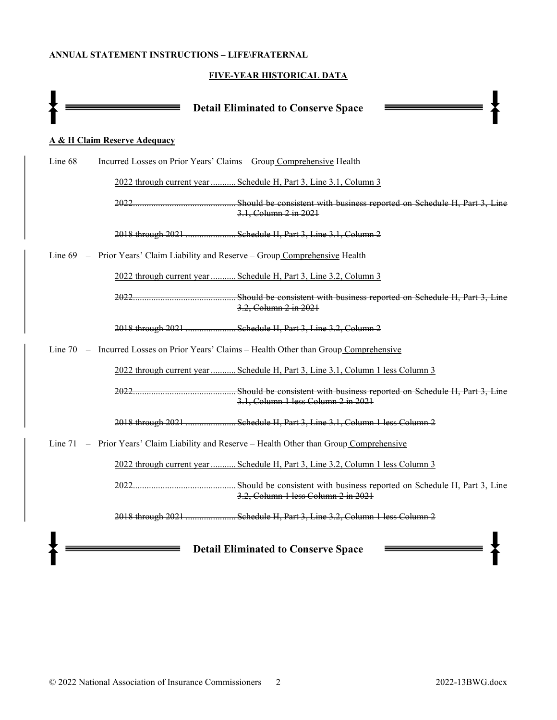#### ANNUAL STATEMENT INSTRUCTIONS – LIFE\FRATERNAL

# FIVE-YEAR HISTORICAL DATA

| <b>Detail Eliminated to Conserve Space</b>                                                               |  |  |  |  |  |
|----------------------------------------------------------------------------------------------------------|--|--|--|--|--|
| <b>A &amp; H Claim Reserve Adequacy</b>                                                                  |  |  |  |  |  |
| Line 68 - Incurred Losses on Prior Years' Claims - Group Comprehensive Health                            |  |  |  |  |  |
| 2022 through current year  Schedule H, Part 3, Line 3.1, Column 3                                        |  |  |  |  |  |
| Should be consistent with business reported on Schedule H, Part 3, Line<br>2022<br>3.1, Column 2 in 2021 |  |  |  |  |  |
| 2018 through 2021  Schedule H, Part 3, Line 3.1, Column 2                                                |  |  |  |  |  |
| Line 69 – Prior Years' Claim Liability and Reserve – Group Comprehensive Health                          |  |  |  |  |  |
| 2022 through current year  Schedule H, Part 3, Line 3.2, Column 3                                        |  |  |  |  |  |
| 3.2, Column 2 in 2021                                                                                    |  |  |  |  |  |
| 2018 through 2021  Schedule H, Part 3, Line 3.2, Column 2                                                |  |  |  |  |  |
| Line 70 - Incurred Losses on Prior Years' Claims - Health Other than Group Comprehensive                 |  |  |  |  |  |
| 2022 through current year  Schedule H, Part 3, Line 3.1, Column 1 less Column 3                          |  |  |  |  |  |
| 3.1, Column 1 less Column 2 in 2021                                                                      |  |  |  |  |  |
| 2018 through 2021  Schedule H, Part 3, Line 3.1, Column 1 less Column 2                                  |  |  |  |  |  |
| Line $71 -$ Prior Years' Claim Liability and Reserve – Health Other than Group Comprehensive             |  |  |  |  |  |
| <u> 2022 through current year  Schedule H, Part 3, Line 3.2, Column 1 less Column 3</u>                  |  |  |  |  |  |
| 3.2, Column 1 less Column 2 in 2021                                                                      |  |  |  |  |  |
| 2018 through 2021  Schedule H, Part 3, Line 3.2, Column 1 less Column 2                                  |  |  |  |  |  |
| <b>Detail Eliminated to Conserve Space</b>                                                               |  |  |  |  |  |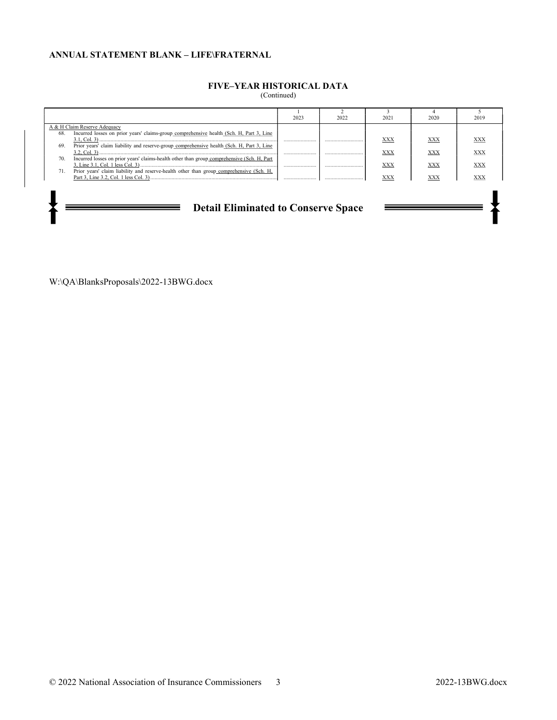#### ANNUAL STATEMENT BLANK – LIFE\FRATERNAL

# FIVE–YEAR HISTORICAL DATA

(Continued)

|                                                                                                                                                                                                    | 2023 | 2022 | 2021 | 2020 | 2019 |  |  |
|----------------------------------------------------------------------------------------------------------------------------------------------------------------------------------------------------|------|------|------|------|------|--|--|
| A & H Claim Reserve Adequacy                                                                                                                                                                       |      |      |      |      |      |  |  |
| Incurred losses on prior years' claims-group comprehensive health (Sch. H, Part 3, Line<br>68.<br>Prior years' claim liability and reserve-group comprehensive health (Sch. H, Part 3, Line<br>69. |      |      | XXX  | XXX  | XXX  |  |  |
| Incurred losses on prior years' claims-health other than group comprehensive (Sch. H, Part<br>70.                                                                                                  |      |      | XXX  | XXX  | XXX  |  |  |
|                                                                                                                                                                                                    |      |      | XXX  | XXX  | XXX  |  |  |
| Prior years' claim liability and reserve-health other than group comprehensive (Sch. H,<br>71.                                                                                                     |      |      | XXX  | XXX  | XX)  |  |  |
|                                                                                                                                                                                                    |      |      |      |      |      |  |  |
| <b>Detail Eliminated to Conserve Space</b>                                                                                                                                                         |      |      |      |      |      |  |  |

W:\QA\BlanksProposals\2022-13BWG.docx